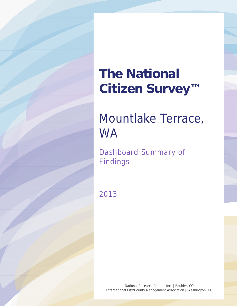# **The National Citizen Survey™**

## Mountlake Terrace, **WA**

Dashboard Summary of Findings

2013

National Research Center, Inc. | Boulder, CO International City/County Management Association | Washington, DC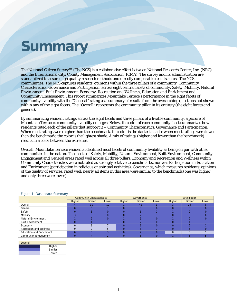### **Summary**

The National Citizen Survey™ (The NCS) is a collaborative effort between National Research Center, Inc. (NRC) and the International City/County Management Association (ICMA). The survey and its administration are standardized to assure high quality research methods and directly comparable results across The NCS communities. The NCS captures residents' opinions within the three pillars of a community, Community Characteristics, Governance and Participation, across eight central facets of community, Safety, Mobility, Natural Environment, Built Environment, Economy, Recreation and Wellness, Education and Enrichment and Community Engagement. This report summarizes Mountlake Terrace's performance in the eight facets of community livability with the "General" rating as a summary of results from the overarching questions not shown within any of the eight facets. The "Overall" represents the community pillar in its entirety (the eight facets and general).

By summarizing resident ratings across the eight facets and three pillars of a livable community, a picture of Mountlake Terrace's community livability emerges. Below, the color of each community facet summarizes how residents rated each of the pillars that support it – Community Characteristics, Governance and Participation. When most ratings were higher than the benchmark, the color is the darkest shade; when most ratings were lower than the benchmark, the color is the lightest shade. A mix of ratings (higher and lower than the benchmark) results in a color between the extremes.

Overall, Mountlake Terrace residents identified most facets of community livability as being on par with other communities in the nation. The facets of Safety, Mobility, Natural Environment, Built Environment, Community Engagement and General areas rated well across all three pillars. Economy and Recreation and Wellness within Community Characteristics were not rated as strongly relative to benchmarks, nor was Participation in Education and Enrichment (participation in religious or spiritual activities). Governance, which measures residents' opinions of the quality of services, rated well; nearly all items in this area were similar to the benchmark (one was higher and only three were lower).

|                                 | <b>Community Characteristics</b> |                |       |          | Governance |       | Participation |         |       |  |
|---------------------------------|----------------------------------|----------------|-------|----------|------------|-------|---------------|---------|-------|--|
|                                 | Higher                           | <b>Similar</b> | Lower | Higher   | Similar    | Lower | Higher        | Similar | Lower |  |
| Overall                         |                                  | 30             | 19    |          | 42         |       |               | 24      |       |  |
| General                         |                                  | n              |       |          |            |       |               |         |       |  |
| Safety                          |                                  |                |       |          |            |       |               |         |       |  |
| Mobility                        |                                  |                |       | $\Omega$ |            |       |               |         |       |  |
| Natural Environment             |                                  |                | 0     |          |            |       |               |         |       |  |
| <b>Built Environment</b>        |                                  |                |       | $\Omega$ |            |       |               |         |       |  |
| Economy                         |                                  |                |       | $\Omega$ |            |       |               |         |       |  |
| Recreation and Wellness         |                                  |                |       |          |            |       |               |         |       |  |
| <b>Education and Enrichment</b> |                                  |                |       |          |            |       |               |         |       |  |
| <b>Community Engagement</b>     |                                  |                |       |          |            |       |               |         |       |  |

#### Figure 1: Dashboard Summary

| Legend |         |  |  |  |  |  |  |
|--------|---------|--|--|--|--|--|--|
|        | Higher  |  |  |  |  |  |  |
|        | Similar |  |  |  |  |  |  |
|        | Lower   |  |  |  |  |  |  |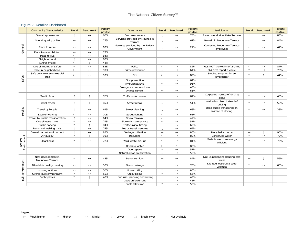#### Figure 2: Detailed Dashboard

|                          | <b>Community Characteristics</b>        | Trend                 | <b>Benchmark</b>      | Percent<br>positive | Governance                                     | Trend                 | <b>Benchmark</b>  | Percent<br>positive | Participation                                    | Trend                 | Benchmark             | Percent<br>positive |
|--------------------------|-----------------------------------------|-----------------------|-----------------------|---------------------|------------------------------------------------|-----------------------|-------------------|---------------------|--------------------------------------------------|-----------------------|-----------------------|---------------------|
|                          | Overall appearance                      | $\uparrow$            | $\longleftrightarrow$ | 60%                 | Customer service                               |                       | $\leftrightarrow$ | 75%                 | Recommend Mountlake Terrace                      |                       | $\leftrightarrow$     | 88%                 |
|                          | Overall quality of life                 | $\leftrightarrow$     | $\leftrightarrow$     | 75%                 | Services provided by Mountlake<br>Terrace      |                       | $\leftrightarrow$ | 67%                 | Remain in Mountlake Terrace                      | $\uparrow$            | $\leftrightarrow$     | 84%                 |
| General                  | Place to retire                         | $\leftrightarrow$     | $\leftrightarrow$     | 63%                 | Services provided by the Federal<br>Government |                       | $\leftrightarrow$ | 27%                 | Contacted Mountlake Terrace<br>employees         | $\leftrightarrow$     | $\leftrightarrow$     | 47%                 |
|                          | Place to raise children                 | $\leftrightarrow$     | $\longleftrightarrow$ | 73%                 |                                                |                       |                   |                     |                                                  |                       |                       |                     |
|                          | Place to live                           | $\leftrightarrow$     | $\leftrightarrow$     | 84%                 |                                                |                       |                   |                     |                                                  |                       |                       |                     |
|                          | Neighborhood                            | $\uparrow$            | $\longleftrightarrow$ | 80%                 |                                                |                       |                   |                     |                                                  |                       |                       |                     |
|                          | Overall image                           | $\leftrightarrow$     |                       | 48%                 |                                                |                       |                   |                     |                                                  |                       |                       |                     |
|                          | Overall feeling of safety               | $\star$               | $\leftrightarrow$     | 82%                 | Police                                         | $\leftrightarrow$     | $\leftrightarrow$ | 82%                 | Was NOT the victim of a crime                    | $\leftrightarrow$     | $\leftrightarrow$     | 87%                 |
|                          | Safe in neighborhood                    | $\leftrightarrow$     | $\longleftrightarrow$ | 93%                 | Crime prevention                               |                       | $\leftrightarrow$ | 64%                 | Did NOT report a crime                           | $\star$               | $\leftrightarrow$     | 73%                 |
| Safety                   | Safe downtown/commercial<br>area        | $\leftrightarrow$     | $\leftrightarrow$     | 93%                 | Fire                                           | $\longleftrightarrow$ | $\leftrightarrow$ | 89%                 | Stocked supplies for an<br>emergency             | $\star$               | ↑                     | 44%                 |
|                          |                                         |                       |                       |                     | Fire prevention                                |                       | $\leftrightarrow$ | 64%                 |                                                  |                       |                       |                     |
|                          |                                         |                       |                       |                     | Ambulance/EMS                                  | $\leftrightarrow$     | $\leftrightarrow$ | 91%                 |                                                  |                       |                       |                     |
|                          |                                         |                       |                       |                     | Emergency preparedness                         |                       |                   | 45%                 |                                                  |                       |                       |                     |
|                          |                                         |                       |                       |                     | Animal control                                 | $\leftrightarrow$     | $\leftrightarrow$ | 61%                 |                                                  |                       |                       |                     |
|                          | Traffic flow                            | $\uparrow$            | $\uparrow$            | 76%                 | Traffic enforcement                            |                       | $\leftrightarrow$ | 67%                 | Carpooled instead of driving<br>alone            | $\star$               | $\leftrightarrow$     | 48%                 |
|                          | Travel by car                           | $\uparrow$            | $\uparrow$            | 85%                 | Street repair                                  |                       | $\leftrightarrow$ | 51%                 | Walked or biked instead of<br>drivina            | $\star$               | $\longleftrightarrow$ | 52%                 |
| Mobility                 | Travel by bicycle                       | $\uparrow$            | $\leftrightarrow$     | 69%                 | Street cleaning                                |                       | $\leftrightarrow$ | 68%                 | Used public transportation<br>instead of driving | $\star$               | $\leftrightarrow$     | 38%                 |
|                          | Ease of walking                         | $\leftrightarrow$     | $\leftrightarrow$     | 70%                 | Street lighting                                | $\leftrightarrow$     | $\leftrightarrow$ | 61%                 |                                                  |                       |                       |                     |
|                          | Travel by public transportation         |                       | $\leftrightarrow$     | 64%                 | Snow removal                                   | $\leftrightarrow$     |                   | 47%                 |                                                  |                       |                       |                     |
|                          | Overall ease travel                     | $\star$               | $\leftrightarrow$     | 79%                 | Sidewalk maintenance                           | $\leftrightarrow$     | $\leftrightarrow$ | 51%                 |                                                  |                       |                       |                     |
|                          | Public parking                          | $\star$               | $\uparrow$            | 84%                 | Traffic signal timing                          |                       | $\leftrightarrow$ | 60%                 |                                                  |                       |                       |                     |
|                          | Paths and walking trails                |                       | $\longleftrightarrow$ | 74%                 | Bus or transit services                        |                       | $\leftrightarrow$ | 65%                 |                                                  |                       |                       |                     |
|                          | Overall natural environment             | $\uparrow$            | $\longleftrightarrow$ | 85%                 | Garbage collection                             | $\leftrightarrow$     | $\leftrightarrow$ | 80%                 | Recycled at home                                 | $\longleftrightarrow$ | $\uparrow$            | 95%                 |
|                          | Air quality                             | $\star$               | $\uparrow$            | 91%                 | Recycling                                      | $\leftrightarrow$     | $\leftrightarrow$ | 80%                 | Conserved water                                  | $\star$               | $\leftrightarrow$     | 79%                 |
| Environment<br>Natural   | Cleanliness                             | $\star$               | $\leftrightarrow$     | 72%                 | Yard waste pick-up                             | $\leftrightarrow$     | $\leftrightarrow$ | 81%                 | Made home more energy<br>efficient               | $\star$               | $\leftrightarrow$     | 76%                 |
|                          |                                         |                       |                       |                     | Drinking water                                 | $\leftrightarrow$     |                   | 88%                 |                                                  |                       |                       |                     |
|                          |                                         |                       |                       |                     | Open space                                     | $\star$               | $\leftrightarrow$ | 57%                 |                                                  |                       |                       |                     |
|                          |                                         |                       |                       |                     | Natural areas preservation                     |                       | $\leftrightarrow$ | 58%                 |                                                  |                       |                       |                     |
|                          | New development in<br>Mountlake Terrace | $\star$               | $\leftrightarrow$     | 48%                 | Sewer services                                 | $\leftrightarrow$     | $\leftrightarrow$ | 84%                 | NOT experiencing housing cost<br>stress          | $\leftrightarrow$     |                       | 55%                 |
| <b>Built Environment</b> | Affordable quality housing              | $\longleftrightarrow$ | $\longleftrightarrow$ | 50%                 | Storm drainage                                 |                       | $\leftrightarrow$ | 70%                 | Did NOT observe a code<br>violation              | $\star$               | $\leftrightarrow$     | 60%                 |
|                          | Housing options                         | $\longleftrightarrow$ | $\longleftrightarrow$ | 50%                 | Power utility                                  | $\star$               | $\leftrightarrow$ | 80%                 |                                                  |                       |                       |                     |
|                          | Overall built environment               | $\star$               | $\longleftrightarrow$ | 55%                 | <b>Utility billing</b>                         | $\star$               | $\leftrightarrow$ | 66%                 |                                                  |                       |                       |                     |
|                          | Public places                           | $\star$               |                       | 48%                 | Land use, planning and zoning                  |                       | $\leftrightarrow$ | 49%                 |                                                  |                       |                       |                     |
|                          |                                         |                       |                       |                     | Code enforcement                               |                       | $\leftrightarrow$ | 45%                 |                                                  |                       |                       |                     |
|                          |                                         |                       |                       |                     | Cable television                               | $\star$               | $\leftrightarrow$ | 58%                 |                                                  |                       |                       |                     |

#### **Legend**

↑↑ Much higher ↑ Higher ↔ Similar ↓ Lower ↓↓ Much lower \* Not available